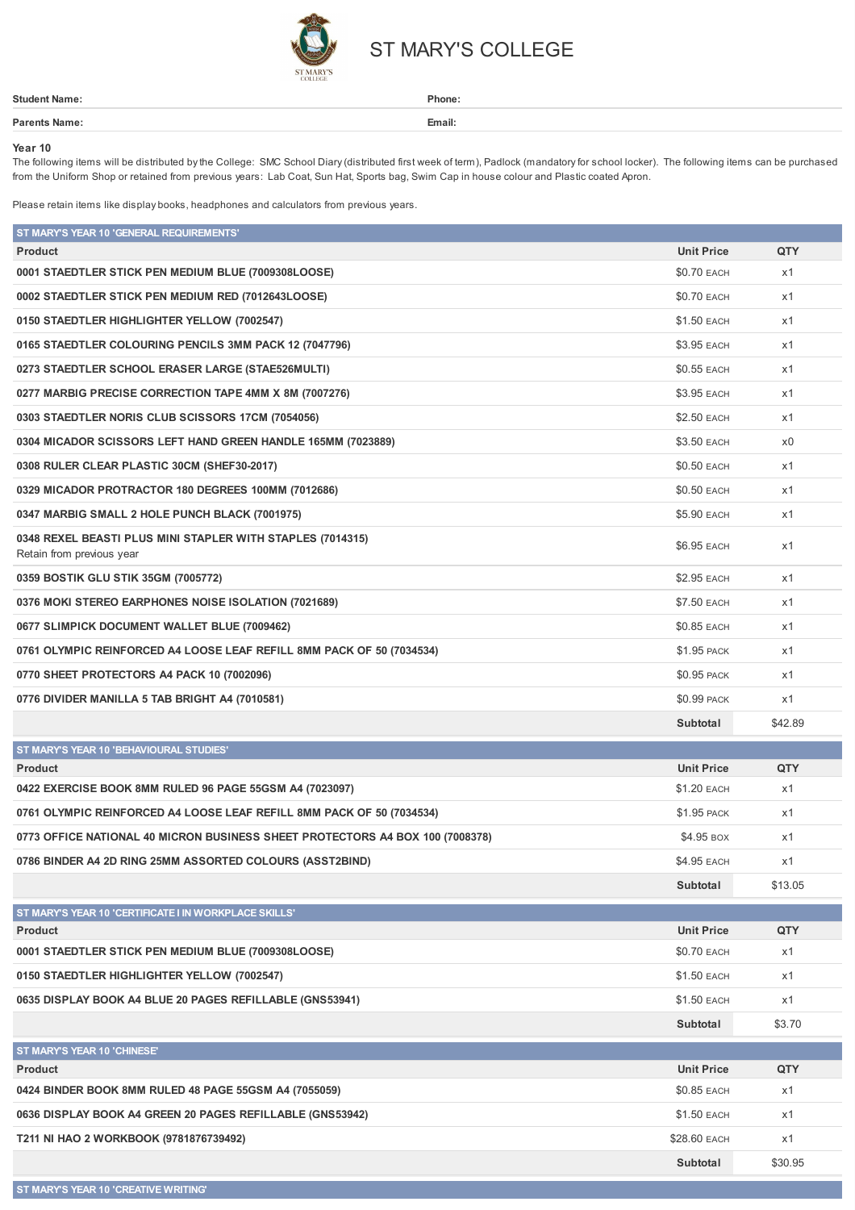

## ST MARY'S COLLEGE

| Student                             | Phone:                                          |
|-------------------------------------|-------------------------------------------------|
| Dover                               | Email:                                          |
| the contract of the contract of the | the contract of the contract of the contract of |

## **Year 10**

The following items will be distributed by the College: SMC School Diary (distributed first week of term), Padlock (mandatory for school locker). The following items can be purchased from the Uniform Shop or retained from previous years: Lab Coat, Sun Hat, Sports bag, Swim Cap in house colour and Plastic coated Apron.

Please retain items like display books, headphones and calculators from previous years.

| ST MARY'S YEAR 10 'GENERAL REQUIREMENTS'                                                |                    |         |
|-----------------------------------------------------------------------------------------|--------------------|---------|
| Product                                                                                 | <b>Unit Price</b>  | QTY     |
| 0001 STAEDTLER STICK PEN MEDIUM BLUE (7009308LOOSE)                                     | \$0.70 EACH        | x1      |
| 0002 STAEDTLER STICK PEN MEDIUM RED (7012643LOOSE)                                      | \$0.70 EACH        | x1      |
| 0150 STAEDTLER HIGHLIGHTER YELLOW (7002547)                                             | \$1.50 EACH        | x1      |
| 0165 STAEDTLER COLOURING PENCILS 3MM PACK 12 (7047796)                                  | \$3.95 EACH        | x1      |
| 0273 STAEDTLER SCHOOL ERASER LARGE (STAE526MULTI)                                       | <b>\$0.55 EACH</b> | x1      |
| 0277 MARBIG PRECISE CORRECTION TAPE 4MM X 8M (7007276)                                  | \$3.95 EACH        | x1      |
| 0303 STAEDTLER NORIS CLUB SCISSORS 17CM (7054056)                                       | \$2.50 EACH        | x1      |
| 0304 MICADOR SCISSORS LEFT HAND GREEN HANDLE 165MM (7023889)                            | \$3.50 EACH        | x0      |
| 0308 RULER CLEAR PLASTIC 30CM (SHEF30-2017)                                             | \$0.50 EACH        | x1      |
| 0329 MICADOR PROTRACTOR 180 DEGREES 100MM (7012686)                                     | <b>\$0.50 EACH</b> | x1      |
| 0347 MARBIG SMALL 2 HOLE PUNCH BLACK (7001975)                                          | \$5.90 EACH        | x1      |
| 0348 REXEL BEASTI PLUS MINI STAPLER WITH STAPLES (7014315)<br>Retain from previous year | \$6.95 EACH        | x1      |
| 0359 BOSTIK GLU STIK 35GM (7005772)                                                     | \$2.95 EACH        | x1      |
| 0376 MOKI STEREO EARPHONES NOISE ISOLATION (7021689)                                    | \$7.50 EACH        | x1      |
| 0677 SLIMPICK DOCUMENT WALLET BLUE (7009462)                                            | \$0.85 EACH        | x1      |
| 0761 OLYMPIC REINFORCED A4 LOOSE LEAF REFILL 8MM PACK OF 50 (7034534)                   | \$1.95 PACK        | x1      |
| 0770 SHEET PROTECTORS A4 PACK 10 (7002096)                                              | \$0.95 PACK        | x1      |
|                                                                                         |                    |         |
| 0776 DIVIDER MANILLA 5 TAB BRIGHT A4 (7010581)                                          | \$0.99 PACK        | x1      |
|                                                                                         | Subtotal           | \$42.89 |
| ST MARY'S YEAR 10 'BEHAVIOURAL STUDIES'                                                 |                    |         |
| <b>Product</b>                                                                          | <b>Unit Price</b>  | QTY     |
| 0422 EXERCISE BOOK 8MM RULED 96 PAGE 55GSM A4 (7023097)                                 | \$1.20 EACH        | x1      |
| 0761 OLYMPIC REINFORCED A4 LOOSE LEAF REFILL 8MM PACK OF 50 (7034534)                   | <b>\$1.95 PACK</b> | x1      |
| 0773 OFFICE NATIONAL 40 MICRON BUSINESS SHEET PROTECTORS A4 BOX 100 (7008378)           | \$4.95 BOX         | x1      |
| 0786 BINDER A4 2D RING 25MM ASSORTED COLOURS (ASST2BIND)                                | \$4.95 EACH        | x1      |
|                                                                                         | Subtotal           | \$13.05 |
| ST MARY'S YEAR 10 'CERTIFICATE I IN WORKPLACE SKILLS'                                   |                    |         |
| Product                                                                                 | <b>Unit Price</b>  | QTY     |
| 0001 STAEDTLER STICK PEN MEDIUM BLUE (7009308LOOSE)                                     | \$0.70 EACH        | x1      |
| 0150 STAEDTLER HIGHLIGHTER YELLOW (7002547)                                             | \$1.50 EACH        | x1      |
| 0635 DISPLAY BOOK A4 BLUE 20 PAGES REFILLABLE (GNS53941)                                | \$1.50 EACH        | x1      |
|                                                                                         | Subtotal           | \$3.70  |
| ST MARY'S YEAR 10 'CHINESE'                                                             |                    |         |
| <b>Product</b>                                                                          | <b>Unit Price</b>  | QTY     |
| 0424 BINDER BOOK 8MM RULED 48 PAGE 55GSM A4 (7055059)                                   | \$0.85 EACH        | x1      |
| 0636 DISPLAY BOOK A4 GREEN 20 PAGES REFILLABLE (GNS53942)                               | \$1.50 EACH        | x1      |
| T211 NI HAO 2 WORKBOOK (9781876739492)                                                  | \$28.60 EACH       | x1      |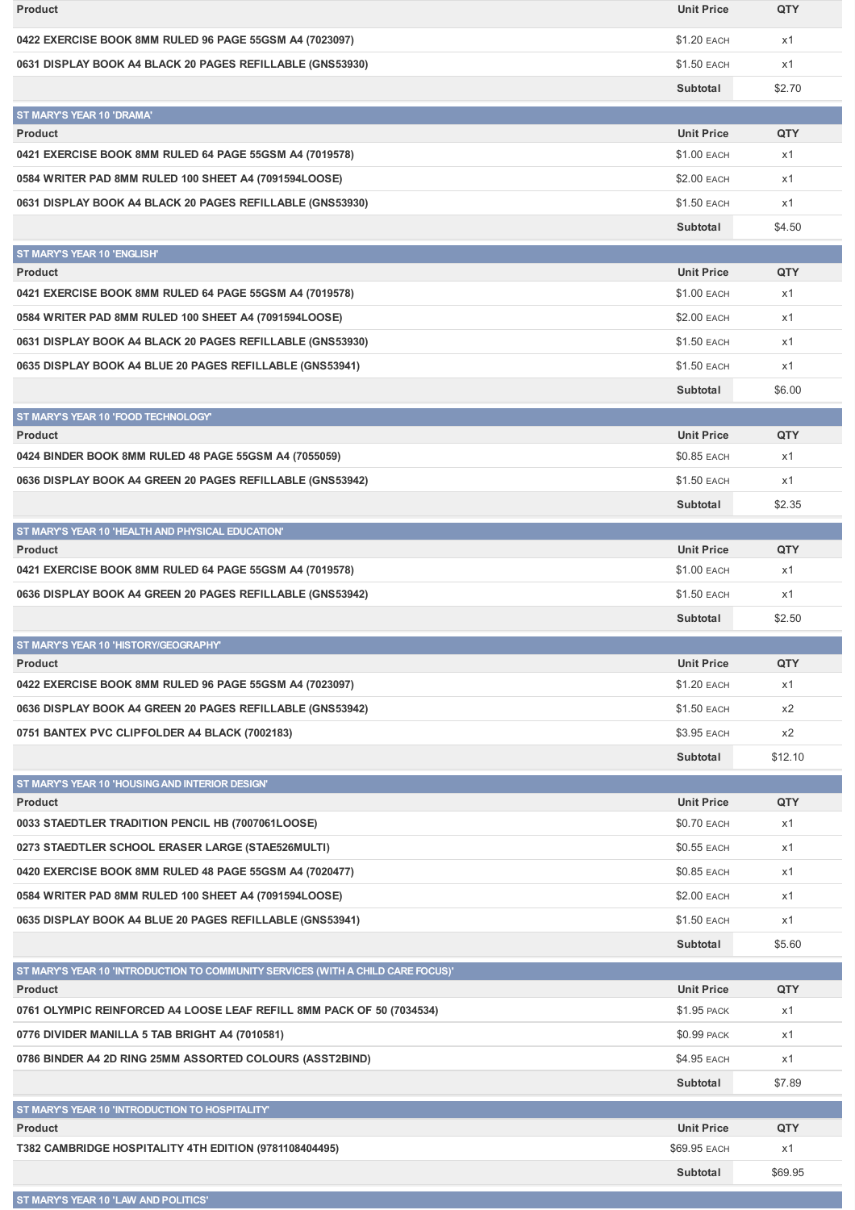| <b>Product</b>                                                                                     | <b>Unit Price</b>                | QTY       |
|----------------------------------------------------------------------------------------------------|----------------------------------|-----------|
| 0422 EXERCISE BOOK 8MM RULED 96 PAGE 55GSM A4 (7023097)                                            | \$1.20 EACH                      | x1        |
| 0631 DISPLAY BOOK A4 BLACK 20 PAGES REFILLABLE (GNS53930)                                          | \$1.50 EACH                      | x1        |
|                                                                                                    | Subtotal                         | \$2.70    |
| ST MARY'S YEAR 10 'DRAMA'                                                                          |                                  |           |
| <b>Product</b>                                                                                     | <b>Unit Price</b>                | QTY       |
| 0421 EXERCISE BOOK 8MM RULED 64 PAGE 55GSM A4 (7019578)                                            | \$1.00 EACH                      | x1        |
| 0584 WRITER PAD 8MM RULED 100 SHEET A4 (7091594LOOSE)                                              | \$2.00 EACH                      | x1        |
| 0631 DISPLAY BOOK A4 BLACK 20 PAGES REFILLABLE (GNS53930)                                          | \$1.50 EACH                      | x1        |
|                                                                                                    | Subtotal                         | \$4.50    |
| ST MARY'S YEAR 10 'ENGLISH'                                                                        |                                  |           |
| <b>Product</b>                                                                                     | <b>Unit Price</b>                | QTY       |
| 0421 EXERCISE BOOK 8MM RULED 64 PAGE 55GSM A4 (7019578)                                            | <b>\$1.00 EACH</b>               | x1        |
| 0584 WRITER PAD 8MM RULED 100 SHEET A4 (7091594LOOSE)                                              | \$2.00 EACH                      | x1        |
| 0631 DISPLAY BOOK A4 BLACK 20 PAGES REFILLABLE (GNS53930)                                          | \$1.50 EACH                      | x1        |
| 0635 DISPLAY BOOK A4 BLUE 20 PAGES REFILLABLE (GNS53941)                                           | \$1.50 EACH                      | x1        |
|                                                                                                    | Subtotal                         | \$6.00    |
| ST MARY'S YEAR 10 'FOOD TECHNOLOGY'                                                                |                                  |           |
| <b>Product</b>                                                                                     | <b>Unit Price</b>                | QTY       |
| 0424 BINDER BOOK 8MM RULED 48 PAGE 55GSM A4 (7055059)                                              | \$0.85 EACH                      | x1        |
| 0636 DISPLAY BOOK A4 GREEN 20 PAGES REFILLABLE (GNS53942)                                          | \$1.50 EACH                      | x1        |
|                                                                                                    | Subtotal                         | \$2.35    |
| ST MARY'S YEAR 10 'HEALTH AND PHYSICAL EDUCATION'                                                  |                                  |           |
| <b>Product</b>                                                                                     | <b>Unit Price</b>                | QTY       |
| 0421 EXERCISE BOOK 8MM RULED 64 PAGE 55GSM A4 (7019578)                                            | \$1.00 EACH                      | x1        |
|                                                                                                    |                                  |           |
| 0636 DISPLAY BOOK A4 GREEN 20 PAGES REFILLABLE (GNS53942)                                          | \$1.50 EACH                      | x1        |
|                                                                                                    | Subtotal                         | \$2.50    |
| ST MARY'S YEAR 10 'HISTORY/GEOGRAPHY'                                                              |                                  |           |
| <b>Product</b>                                                                                     | <b>Unit Price</b>                | QTY       |
| 0422 EXERCISE BOOK 8MM RULED 96 PAGE 55GSM A4 (7023097)                                            | \$1.20 EACH                      | x1        |
| 0636 DISPLAY BOOK A4 GREEN 20 PAGES REFILLABLE (GNS53942)                                          | \$1.50 EACH                      | x2        |
| 0751 BANTEX PVC CLIPFOLDER A4 BLACK (7002183)                                                      | \$3.95 EACH                      | x2        |
|                                                                                                    | Subtotal                         | \$12.10   |
| ST MARY'S YEAR 10 'HOUSING AND INTERIOR DESIGN'                                                    |                                  |           |
| <b>Product</b><br>0033 STAEDTLER TRADITION PENCIL HB (7007061LOOSE)                                | <b>Unit Price</b><br>\$0.70 EACH | QTY<br>x1 |
| 0273 STAEDTLER SCHOOL ERASER LARGE (STAE526MULTI)                                                  | \$0.55 EACH                      | x1        |
|                                                                                                    |                                  | x1        |
| 0420 EXERCISE BOOK 8MM RULED 48 PAGE 55GSM A4 (7020477)                                            | \$0.85 EACH                      |           |
| 0584 WRITER PAD 8MM RULED 100 SHEET A4 (7091594LOOSE)                                              | \$2.00 EACH                      | x1        |
| 0635 DISPLAY BOOK A4 BLUE 20 PAGES REFILLABLE (GNS53941)                                           | \$1.50 EACH                      | x1        |
|                                                                                                    | Subtotal                         | \$5.60    |
| ST MARY'S YEAR 10 'INTRODUCTION TO COMMUNITY SERVICES (WITH A CHILD CARE FOCUS)'<br><b>Product</b> | <b>Unit Price</b>                | QTY       |
| 0761 OLYMPIC REINFORCED A4 LOOSE LEAF REFILL 8MM PACK OF 50 (7034534)                              | \$1.95 PACK                      | x1        |
| 0776 DIVIDER MANILLA 5 TAB BRIGHT A4 (7010581)                                                     | \$0.99 PACK                      | x1        |
| 0786 BINDER A4 2D RING 25MM ASSORTED COLOURS (ASST2BIND)                                           | \$4.95 EACH                      | x1        |
|                                                                                                    | Subtotal                         | \$7.89    |
|                                                                                                    |                                  |           |
| ST MARY'S YEAR 10 'INTRODUCTION TO HOSPITALITY'<br><b>Product</b>                                  | <b>Unit Price</b>                | QTY       |
| T382 CAMBRIDGE HOSPITALITY 4TH EDITION (9781108404495)                                             | \$69.95 EACH                     | x1        |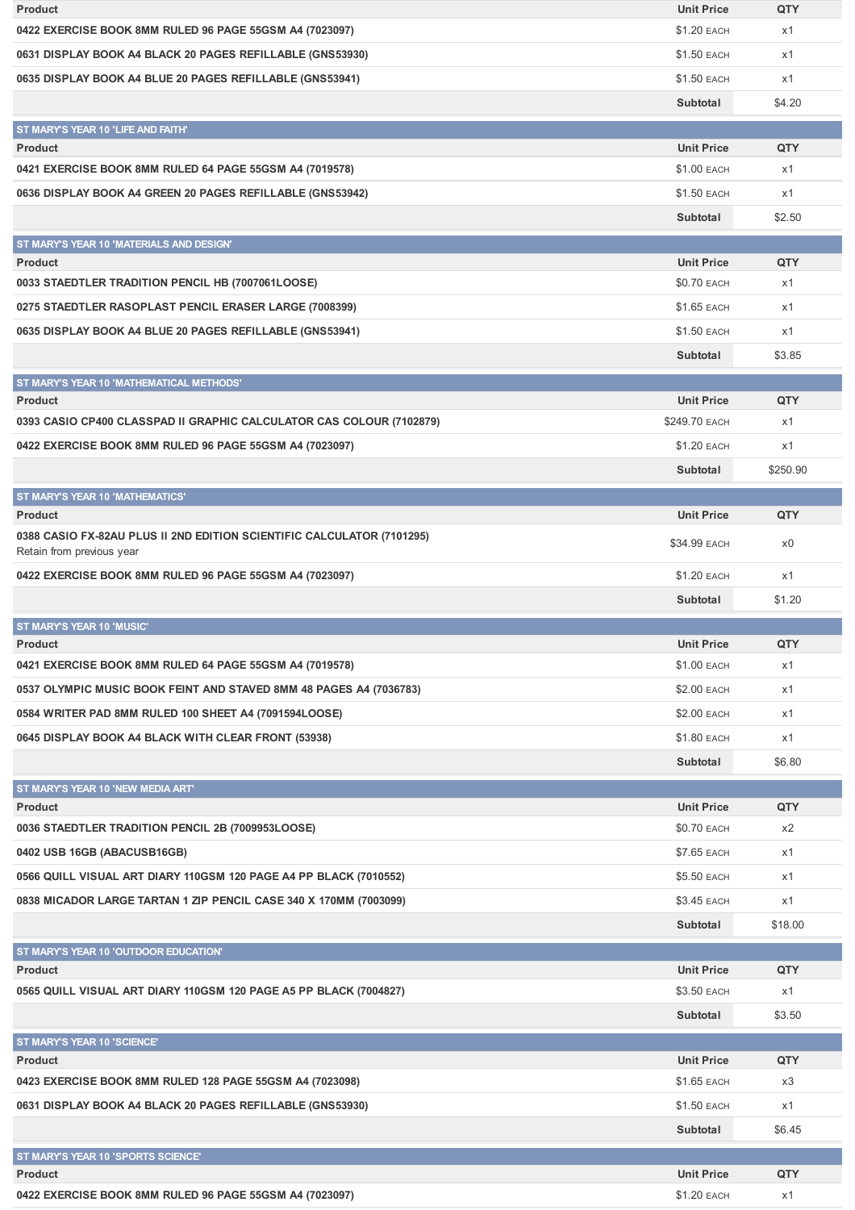| <b>Product</b>                                                                                      | <b>Unit Price</b>                | QTY       |
|-----------------------------------------------------------------------------------------------------|----------------------------------|-----------|
| 0422 EXERCISE BOOK 8MM RULED 96 PAGE 55GSM A4 (7023097)                                             | \$1.20 EACH                      | x1        |
| 0631 DISPLAY BOOK A4 BLACK 20 PAGES REFILLABLE (GNS53930)                                           | <b>\$1.50 EACH</b>               | x1        |
| 0635 DISPLAY BOOK A4 BLUE 20 PAGES REFILLABLE (GNS53941)                                            | \$1.50 EACH                      | x1        |
|                                                                                                     | Subtotal                         | \$4.20    |
| ST MARY'S YEAR 10 'LIFE AND FAITH'                                                                  |                                  |           |
| <b>Product</b>                                                                                      | <b>Unit Price</b>                | QTY       |
| 0421 EXERCISE BOOK 8MM RULED 64 PAGE 55GSM A4 (7019578)                                             | \$1.00 EACH                      | x1        |
| 0636 DISPLAY BOOK A4 GREEN 20 PAGES REFILLABLE (GNS53942)                                           | <b>\$1.50 EACH</b>               | x1        |
|                                                                                                     | Subtotal                         | \$2.50    |
| ST MARY'S YEAR 10 'MATERIALS AND DESIGN'                                                            |                                  |           |
| <b>Product</b>                                                                                      | <b>Unit Price</b>                | QTY       |
| 0033 STAEDTLER TRADITION PENCIL HB (7007061LOOSE)                                                   | <b>\$0.70 EACH</b>               | x1        |
| 0275 STAEDTLER RASOPLAST PENCIL ERASER LARGE (7008399)                                              | <b>\$1.65 EACH</b>               | x1        |
| 0635 DISPLAY BOOK A4 BLUE 20 PAGES REFILLABLE (GNS53941)                                            | \$1.50 EACH                      | x1        |
|                                                                                                     | Subtotal                         | \$3.85    |
| ST MARY'S YEAR 10 'MATHEMATICAL METHODS'                                                            |                                  |           |
| <b>Product</b>                                                                                      | <b>Unit Price</b>                | QTY       |
| 0393 CASIO CP400 CLASSPAD II GRAPHIC CALCULATOR CAS COLOUR (7102879)                                | \$249.70 EACH                    | x1        |
| 0422 EXERCISE BOOK 8MM RULED 96 PAGE 55GSM A4 (7023097)                                             | <b>\$1.20 EACH</b>               | x1        |
|                                                                                                     | Subtotal                         | \$250.90  |
| <b>ST MARY'S YEAR 10 'MATHEMATICS'</b>                                                              |                                  |           |
| <b>Product</b>                                                                                      | <b>Unit Price</b>                | QTY       |
| 0388 CASIO FX-82AU PLUS II 2ND EDITION SCIENTIFIC CALCULATOR (7101295)<br>Retain from previous year | \$34.99 EACH                     | x0        |
| 0422 EXERCISE BOOK 8MM RULED 96 PAGE 55GSM A4 (7023097)                                             | <b>\$1.20 EACH</b>               | x1        |
|                                                                                                     |                                  |           |
|                                                                                                     | Subtotal                         | \$1.20    |
|                                                                                                     |                                  |           |
| ST MARY'S YEAR 10 'MUSIC'<br><b>Product</b>                                                         | <b>Unit Price</b>                | QTY       |
| 0421 EXERCISE BOOK 8MM RULED 64 PAGE 55GSM A4 (7019578)                                             | \$1.00 EACH                      | x1        |
| 0537 OLYMPIC MUSIC BOOK FEINT AND STAVED 8MM 48 PAGES A4 (7036783)                                  | \$2.00 EACH                      | x1        |
| 0584 WRITER PAD 8MM RULED 100 SHEET A4 (7091594LOOSE)                                               | \$2.00 EACH                      | x1        |
|                                                                                                     | <b>\$1.80 EACH</b>               |           |
| 0645 DISPLAY BOOK A4 BLACK WITH CLEAR FRONT (53938)                                                 |                                  | x1        |
|                                                                                                     | Subtotal                         | \$6.80    |
| ST MARY'S YEAR 10 'NEW MEDIA ART'                                                                   |                                  |           |
| <b>Product</b><br>0036 STAEDTLER TRADITION PENCIL 2B (7009953LOOSE)                                 | <b>Unit Price</b><br>\$0.70 EACH | QTY<br>x2 |
|                                                                                                     | \$7.65 EACH                      | x1        |
| 0402 USB 16GB (ABACUSB16GB)                                                                         |                                  |           |
| 0566 QUILL VISUAL ART DIARY 110GSM 120 PAGE A4 PP BLACK (7010552)                                   | \$5.50 EACH                      | x1        |
| 0838 MICADOR LARGE TARTAN 1 ZIP PENCIL CASE 340 X 170MM (7003099)                                   | \$3.45 EACH                      | x1        |
|                                                                                                     | Subtotal                         | \$18.00   |
| ST MARY'S YEAR 10 'OUTDOOR EDUCATION'                                                               |                                  |           |
| <b>Product</b>                                                                                      | <b>Unit Price</b>                | QTY       |
| 0565 QUILL VISUAL ART DIARY 110GSM 120 PAGE A5 PP BLACK (7004827)                                   | \$3.50 EACH                      | x1        |
|                                                                                                     | Subtotal                         | \$3.50    |
| ST MARY'S YEAR 10 'SCIENCE'                                                                         |                                  |           |
| <b>Product</b>                                                                                      | <b>Unit Price</b><br>\$1.65 EACH | QTY<br>x3 |
| 0423 EXERCISE BOOK 8MM RULED 128 PAGE 55GSM A4 (7023098)                                            |                                  |           |
| 0631 DISPLAY BOOK A4 BLACK 20 PAGES REFILLABLE (GNS53930)                                           | \$1.50 EACH                      | x1        |
|                                                                                                     | Subtotal                         | \$6.45    |
| ST MARY'S YEAR 10 'SPORTS SCIENCE'                                                                  |                                  |           |
| <b>Product</b><br>0422 EXERCISE BOOK 8MM RULED 96 PAGE 55GSM A4 (7023097)                           | <b>Unit Price</b><br>\$1.20 EACH | QTY<br>x1 |